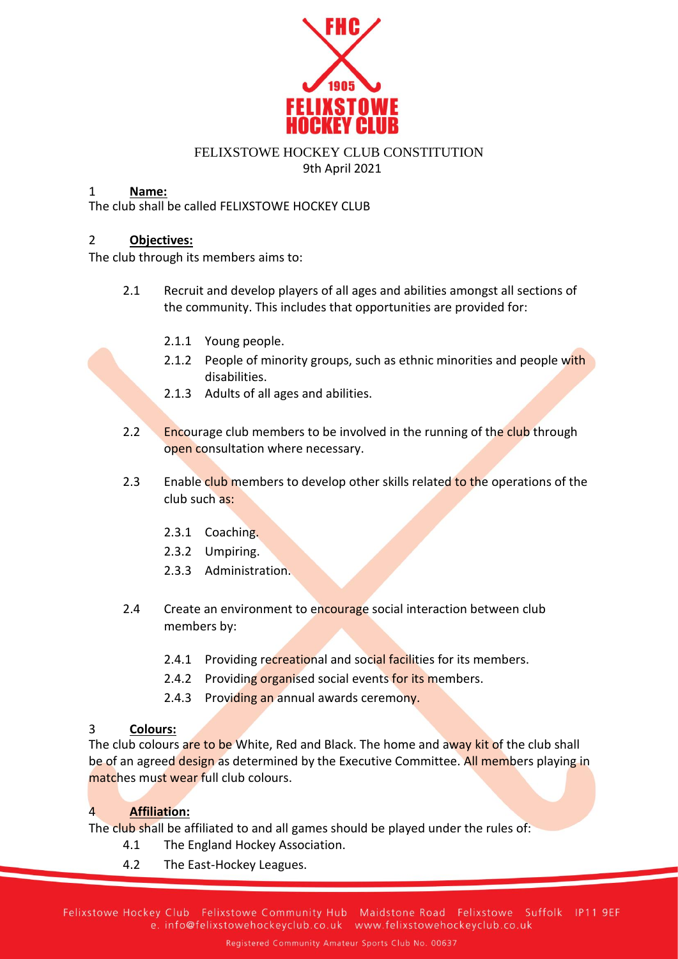

#### FELIXSTOWE HOCKEY CLUB CONSTITUTION 9th April 2021

#### 1 **Name:**

The club shall be called FELIXSTOWE HOCKEY CLUB

### 2 **Objectives:**

The club through its members aims to:

- 2.1 Recruit and develop players of all ages and abilities amongst all sections of the community. This includes that opportunities are provided for:
	- 2.1.1 Young people.
	- 2.1.2 People of minority groups, such as ethnic minorities and people with disabilities.
	- 2.1.3 Adults of all ages and abilities.
- 2.2 Encourage club members to be involved in the running of the club through open consultation where necessary.
- 2.3 Enable club members to develop other skills related to the operations of the club such as:
	- 2.3.1 Coaching.
	- 2.3.2 Umpiring.
	- 2.3.3 Administration.
- 2.4 Create an environment to encourage social interaction between club members by:
	- 2.4.1 Providing recreational and social facilities for its members.
	- 2.4.2 Providing organised social events for its members.
	- 2.4.3 Providing an annual awards ceremony.

#### 3 **Colours:**

The club colours are to be White, Red and Black. The home and away kit of the club shall be of an agreed design as determined by the Executive Committee. All members playing in matches must wear full club colours.

## 4 **Affiliation:**

The club shall be affiliated to and all games should be played under the rules of:

- 4.1 The England Hockey Association.
- 4.2 The East-Hockey Leagues.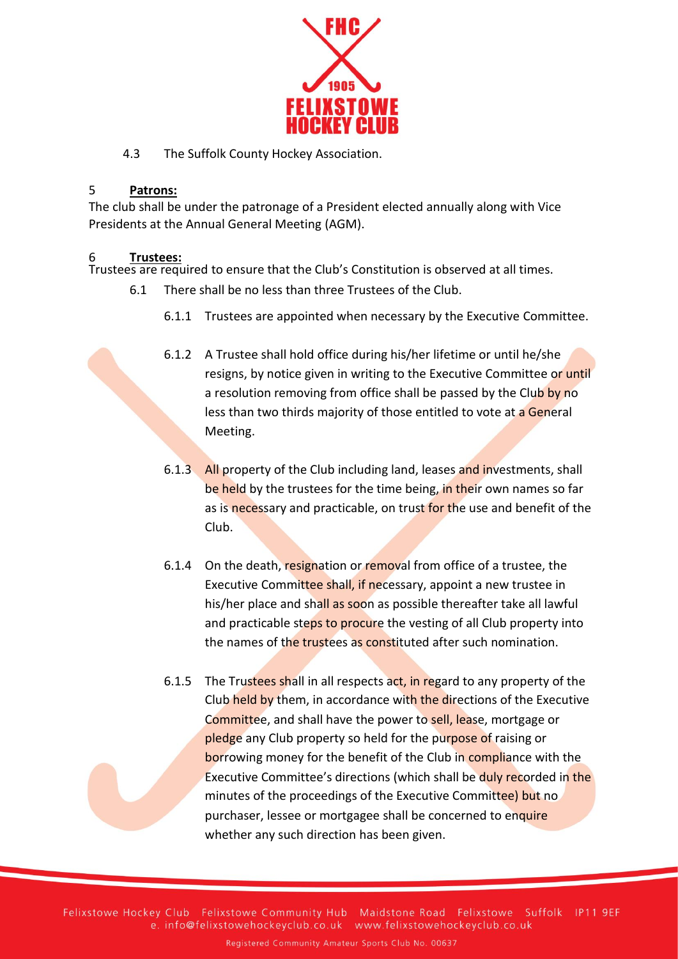

4.3 The Suffolk County Hockey Association.

### 5 **Patrons:**

The club shall be under the patronage of a President elected annually along with Vice Presidents at the Annual General Meeting (AGM).

### 6 **Trustees:**

Trustees are required to ensure that the Club's Constitution is observed at all times.

- 6.1 There shall be no less than three Trustees of the Club.
	- 6.1.1 Trustees are appointed when necessary by the Executive Committee.
	- 6.1.2 A Trustee shall hold office during his/her lifetime or until he/she resigns, by notice given in writing to the Executive Committee or until a resolution removing from office shall be passed by the Club by no less than two thirds majority of those entitled to vote at a General Meeting.
	- 6.1.3 All property of the Club including land, leases and investments, shall be held by the trustees for the time being, in their own names so far as is necessary and practicable, on trust for the use and benefit of the Club.
	- 6.1.4 On the death, resignation or removal from office of a trustee, the Executive Committee shall, if necessary, appoint a new trustee in his/her place and shall as soon as possible thereafter take all lawful and practicable steps to procure the vesting of all Club property into the names of the trustees as constituted after such nomination.
	- 6.1.5 The Trustees shall in all respects act, in regard to any property of the Club held by them, in accordance with the directions of the Executive Committee, and shall have the power to sell, lease, mortgage or pledge any Club property so held for the purpose of raising or borrowing money for the benefit of the Club in compliance with the Executive Committee's directions (which shall be duly recorded in the minutes of the proceedings of the Executive Committee) but no purchaser, lessee or mortgagee shall be concerned to enquire whether any such direction has been given.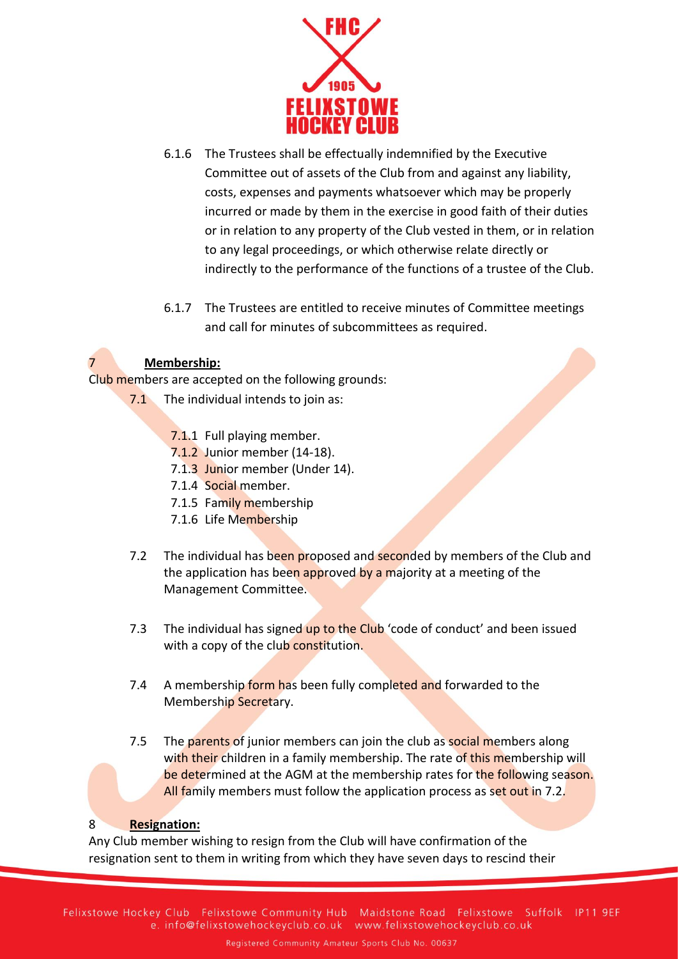

- 6.1.6 The Trustees shall be effectually indemnified by the Executive Committee out of assets of the Club from and against any liability, costs, expenses and payments whatsoever which may be properly incurred or made by them in the exercise in good faith of their duties or in relation to any property of the Club vested in them, or in relation to any legal proceedings, or which otherwise relate directly or indirectly to the performance of the functions of a trustee of the Club.
- 6.1.7 The Trustees are entitled to receive minutes of Committee meetings and call for minutes of subcommittees as required.

# 7 **Membership:**

Club members are accepted on the following grounds:

- 7.1 The individual intends to join as:
	- 7.1.1 Full playing member.
	- 7.1.2 Junior member (14-18).
	- 7.1.3 Junior member (Under 14).
	- 7.1.4 Social member.
	- 7.1.5 Family membership
	- 7.1.6 Life Membership
- 7.2 The individual has been proposed and seconded by members of the Club and the application has been approved by a majority at a meeting of the Management Committee.
- 7.3 The individual has signed up to the Club 'code of conduct' and been issued with a copy of the club constitution.
- 7.4 A membership form has been fully completed and forwarded to the Membership Secretary.
- 7.5 The parents of junior members can join the club as social members along with their children in a family membership. The rate of this membership will be determined at the AGM at the membership rates for the following season. All family members must follow the application process as set out in 7.2.

## 8 **Resignation:**

Any Club member wishing to resign from the Club will have confirmation of the resignation sent to them in writing from which they have seven days to rescind their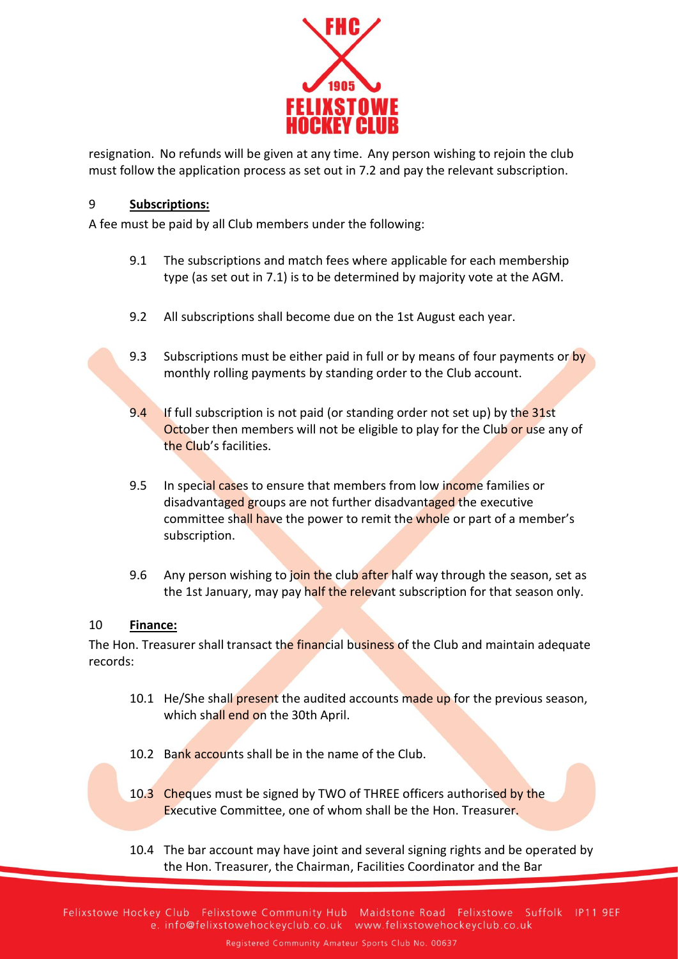

resignation. No refunds will be given at any time. Any person wishing to rejoin the club must follow the application process as set out in 7.2 and pay the relevant subscription.

### 9 **Subscriptions:**

A fee must be paid by all Club members under the following:

- 9.1 The subscriptions and match fees where applicable for each membership type (as set out in 7.1) is to be determined by majority vote at the AGM.
- 9.2 All subscriptions shall become due on the 1st August each year.
- 9.3 Subscriptions must be either paid in full or by means of four payments or by monthly rolling payments by standing order to the Club account.
- 9.4 If full subscription is not paid (or standing order not set up) by the 31st October then members will not be eligible to play for the Club or use any of the Club's facilities.
- 9.5 In special cases to ensure that members from low income families or disadvantaged groups are not further disadvantaged the executive committee shall have the power to remit the whole or part of a member's subscription.
- 9.6 Any person wishing to join the club after half way through the season, set as the 1st January, may pay half the relevant subscription for that season only.

#### 10 **Finance:**

The Hon. Treasurer shall transact the financial business of the Club and maintain adequate records:

- 10.1 He/She shall present the audited accounts made up for the previous season, which shall end on the 30th April.
- 10.2 Bank accounts shall be in the name of the Club.
- 10.3 Cheques must be signed by TWO of THREE officers authorised by the Executive Committee, one of whom shall be the Hon. Treasurer.
- 10.4 The bar account may have joint and several signing rights and be operated by the Hon. Treasurer, the Chairman, Facilities Coordinator and the Bar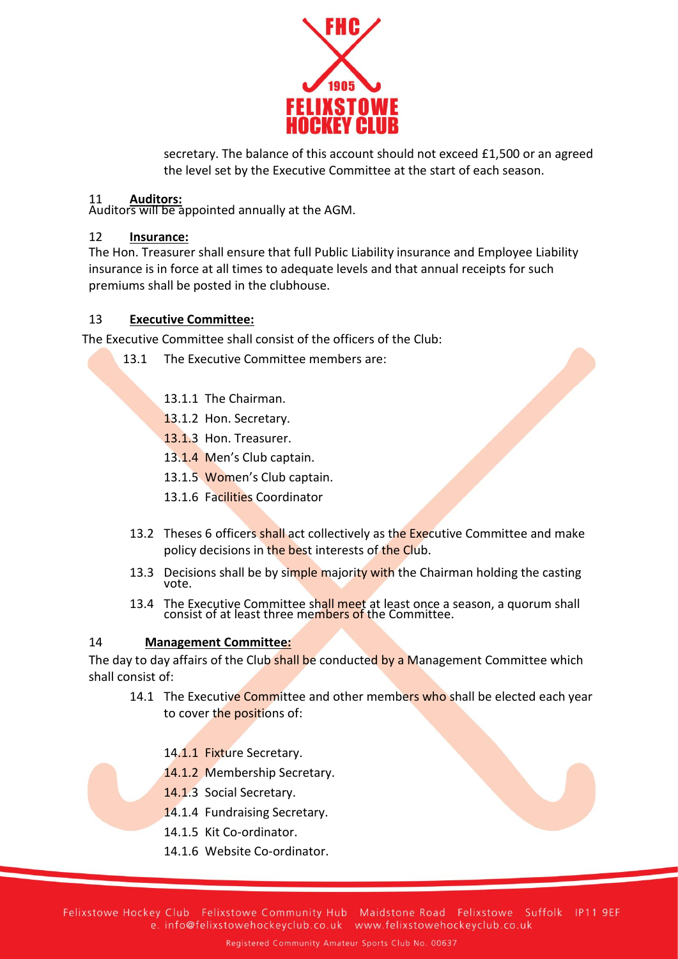

secretary. The balance of this account should not exceed £1,500 or an agreed the level set by the Executive Committee at the start of each season.

# 11 **Auditors:**

Auditors will be appointed annually at the AGM.

### 12 **Insurance:**

The Hon. Treasurer shall ensure that full Public Liability insurance and Employee Liability insurance is in force at all times to adequate levels and that annual receipts for such premiums shall be posted in the clubhouse.

## 13 **Executive Committee:**

The Executive Committee shall consist of the officers of the Club:

- 13.1 The Executive Committee members are:
	- 13.1.1 The Chairman.
	- 13.1.2 Hon. Secretary.
	- 13.1.3 Hon. Treasurer.
	- 13.1.4 Men's Club captain.
	- 13.1.5 Women's Club captain.
	- 13.1.6 Facilities Coordinator
- 13.2 Theses 6 officers shall act collectively as the Executive Committee and make policy decisions in the best interests of the Club.
- 13.3 Decisions shall be by simple majority with the Chairman holding the casting vote.
- 13.4 The Executive Committee shall meet at least once a season, a quorum shall consist of at least three members of the Committee.

## 14 **Management Committee:**

The day to day affairs of the Club shall be conducted by a Management Committee which shall consist of:

- 14.1 The Executive Committee and other members who shall be elected each year to cover the positions of:
	- 14.1.1 Fixture Secretary.
	- 14.1.2 Membership Secretary.
	- 14.1.3 Social Secretary.
	- 14.1.4 Fundraising Secretary.
	- 14.1.5 Kit Co-ordinator.
	- 14.1.6 Website Co-ordinator.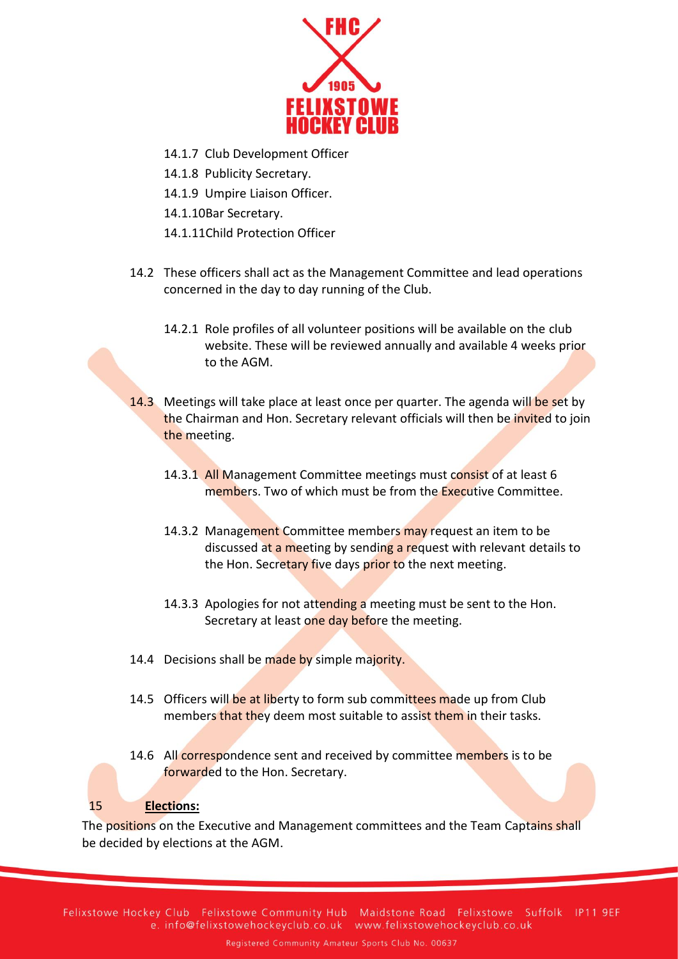

- 14.1.7 Club Development Officer
- 14.1.8 Publicity Secretary.
- 14.1.9 Umpire Liaison Officer.
- 14.1.10Bar Secretary.
- 14.1.11Child Protection Officer
- 14.2 These officers shall act as the Management Committee and lead operations concerned in the day to day running of the Club.
	- 14.2.1 Role profiles of all volunteer positions will be available on the club website. These will be reviewed annually and available 4 weeks prior to the AGM.
- 14.3 Meetings will take place at least once per quarter. The agenda will be set by the Chairman and Hon. Secretary relevant officials will then be invited to join the meeting.
	- 14.3.1 All Management Committee meetings must consist of at least 6 members. Two of which must be from the Executive Committee.
	- 14.3.2 Management Committee members may request an item to be discussed at a meeting by sending a request with relevant details to the Hon. Secretary five days prior to the next meeting.
	- 14.3.3 Apologies for not attending a meeting must be sent to the Hon. Secretary at least one day before the meeting.
- 14.4 Decisions shall be made by simple majority.
- 14.5 Officers will be at liberty to form sub committees made up from Club members that they deem most suitable to assist them in their tasks.
- 14.6 All correspondence sent and received by committee members is to be forwarded to the Hon. Secretary.

#### 15 **Elections:**

The positions on the Executive and Management committees and the Team Captains shall be decided by elections at the AGM.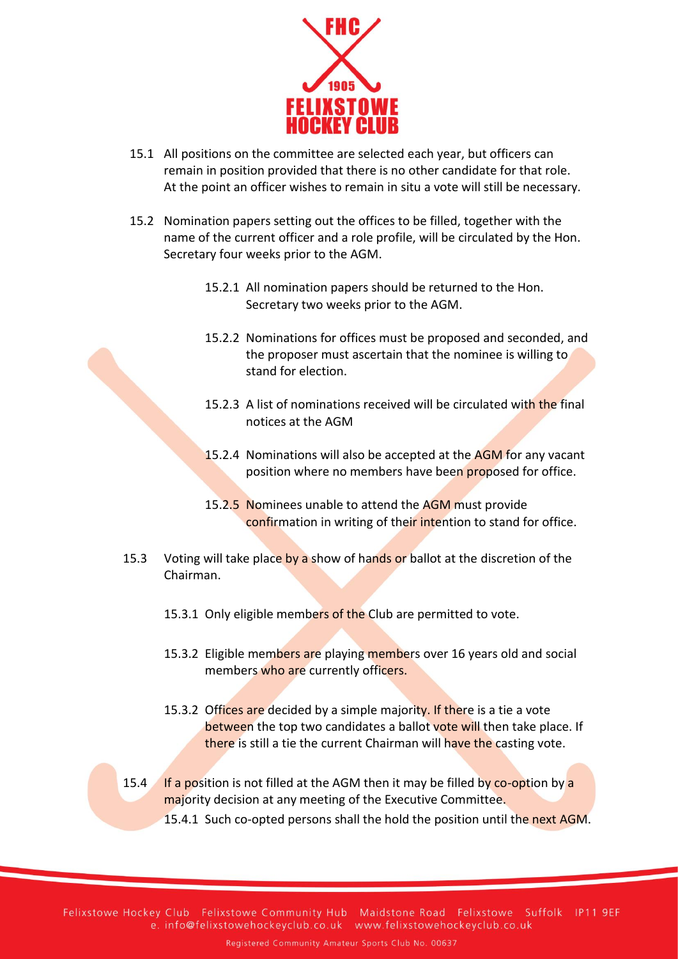

- 15.1 All positions on the committee are selected each year, but officers can remain in position provided that there is no other candidate for that role. At the point an officer wishes to remain in situ a vote will still be necessary.
- 15.2 Nomination papers setting out the offices to be filled, together with the name of the current officer and a role profile, will be circulated by the Hon. Secretary four weeks prior to the AGM.
	- 15.2.1 All nomination papers should be returned to the Hon. Secretary two weeks prior to the AGM.
	- 15.2.2 Nominations for offices must be proposed and seconded, and the proposer must ascertain that the nominee is willing to stand for election.
	- 15.2.3 A list of nominations received will be circulated with the final notices at the AGM
	- 15.2.4 Nominations will also be accepted at the AGM for any vacant position where no members have been proposed for office.
	- 15.2.5 Nominees unable to attend the AGM must provide confirmation in writing of their intention to stand for office.
- 15.3 Voting will take place by a show of hands or ballot at the discretion of the Chairman.
	- 15.3.1 Only eligible members of the Club are permitted to vote.
	- 15.3.2 Eligible members are playing members over 16 years old and social members who are currently officers.
	- 15.3.2 Offices are decided by a simple majority. If there is a tie a vote between the top two candidates a ballot vote will then take place. If there is still a tie the current Chairman will have the casting vote.
- 15.4 If a position is not filled at the AGM then it may be filled by co-option by a majority decision at any meeting of the Executive Committee. 15.4.1 Such co-opted persons shall the hold the position until the next AGM.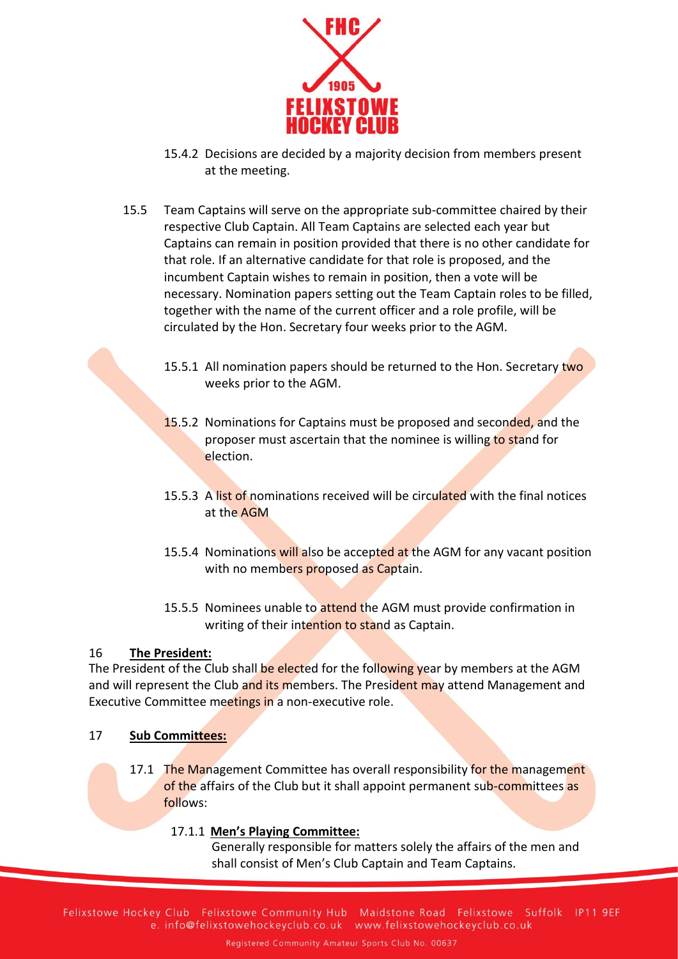

- 15.4.2 Decisions are decided by a majority decision from members present at the meeting.
- 15.5 Team Captains will serve on the appropriate sub-committee chaired by their respective Club Captain. All Team Captains are selected each year but Captains can remain in position provided that there is no other candidate for that role. If an alternative candidate for that role is proposed, and the incumbent Captain wishes to remain in position, then a vote will be necessary. Nomination papers setting out the Team Captain roles to be filled, together with the name of the current officer and a role profile, will be circulated by the Hon. Secretary four weeks prior to the AGM.
	- 15.5.1 All nomination papers should be returned to the Hon. Secretary two weeks prior to the AGM.
	- 15.5.2 Nominations for Captains must be proposed and seconded, and the proposer must ascertain that the nominee is willing to stand for election.
	- 15.5.3 A list of nominations received will be circulated with the final notices at the AGM
	- 15.5.4 Nominations will also be accepted at the AGM for any vacant position with no members proposed as Captain.
	- 15.5.5 Nominees unable to attend the AGM must provide confirmation in writing of their intention to stand as Captain.

## 16 **The President:**

The President of the Club shall be elected for the following year by members at the AGM and will represent the Club and its members. The President may attend Management and Executive Committee meetings in a non-executive role.

- 17 **Sub Committees:**
	- 17.1 The Management Committee has overall responsibility for the management of the affairs of the Club but it shall appoint permanent sub-committees as follows:

## 17.1.1 **Men's Playing Committee:**

Generally responsible for matters solely the affairs of the men and shall consist of Men's Club Captain and Team Captains.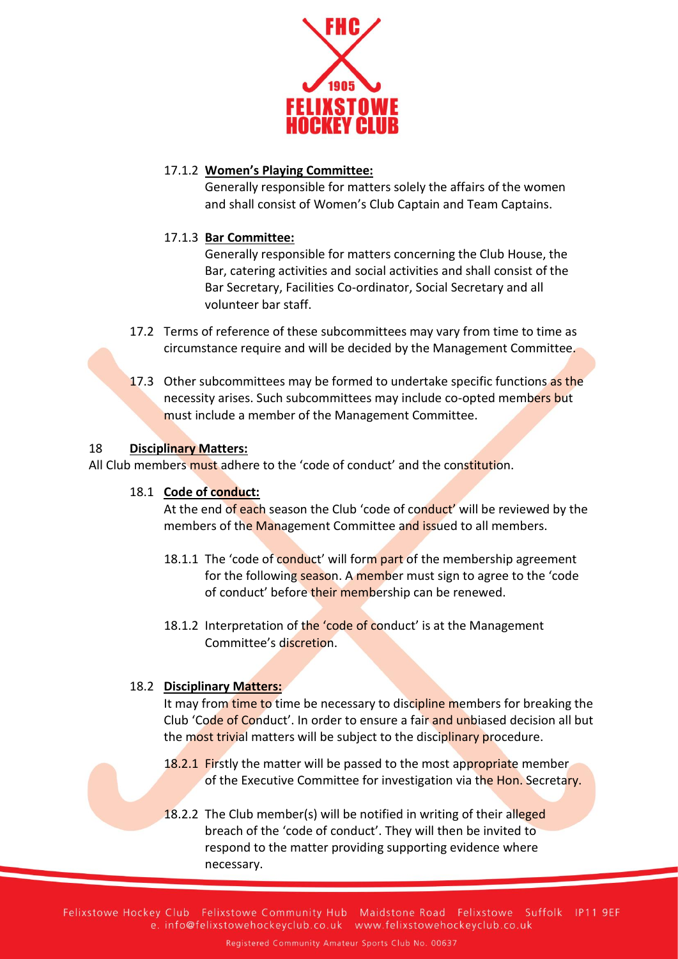

## 17.1.2 **Women's Playing Committee:**

Generally responsible for matters solely the affairs of the women and shall consist of Women's Club Captain and Team Captains.

### 17.1.3 **Bar Committee:**

Generally responsible for matters concerning the Club House, the Bar, catering activities and social activities and shall consist of the Bar Secretary, Facilities Co-ordinator, Social Secretary and all volunteer bar staff.

- 17.2 Terms of reference of these subcommittees may vary from time to time as circumstance require and will be decided by the Management Committee.
- 17.3 Other subcommittees may be formed to undertake specific functions as the necessity arises. Such subcommittees may include co-opted members but must include a member of the Management Committee.

### 18 **Disciplinary Matters:**

All Club members must adhere to the 'code of conduct' and the constitution.

#### 18.1 **Code of conduct:**

At the end of each season the Club 'code of conduct' will be reviewed by the members of the Management Committee and issued to all members.

- 18.1.1 The 'code of conduct' will form part of the membership agreement for the following season. A member must sign to agree to the 'code of conduct' before their membership can be renewed.
- 18.1.2 Interpretation of the 'code of conduct' is at the Management Committee's discretion.

## 18.2 **Disciplinary Matters:**

It may from time to time be necessary to discipline members for breaking the Club 'Code of Conduct'. In order to ensure a fair and unbiased decision all but the most trivial matters will be subject to the disciplinary procedure.

- 18.2.1 Firstly the matter will be passed to the most appropriate member of the Executive Committee for investigation via the Hon. Secretary.
- 18.2.2 The Club member(s) will be notified in writing of their alleged breach of the 'code of conduct'. They will then be invited to respond to the matter providing supporting evidence where necessary.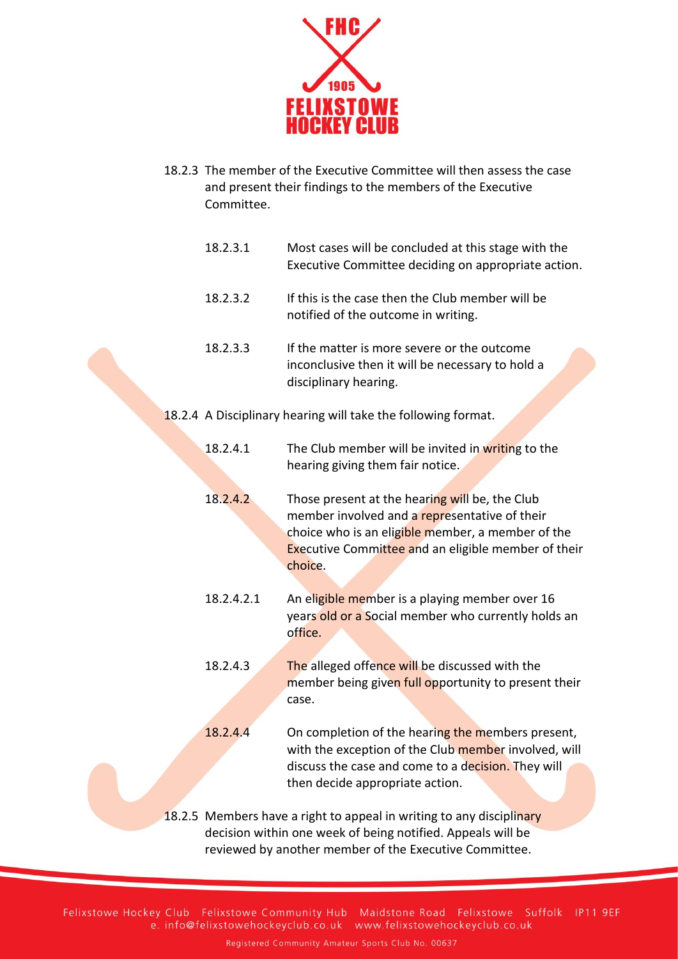

- 18.2.3 The member of the Executive Committee will then assess the case and present their findings to the members of the Executive Committee.
	- 18.2.3.1 Most cases will be concluded at this stage with the Executive Committee deciding on appropriate action.
	- 18.2.3.2 If this is the case then the Club member will be notified of the outcome in writing.
	- 18.2.3.3 If the matter is more severe or the outcome inconclusive then it will be necessary to hold a disciplinary hearing.
- 18.2.4 A Disciplinary hearing will take the following format.
	- 18.2.4.1 The Club member will be invited in writing to the hearing giving them fair notice.
	- 18.2.4.2 Those present at the hearing will be, the Club member involved and a representative of their choice who is an eligible member, a member of the Executive Committee and an eligible member of their choice.
	- 18.2.4.2.1 An eligible member is a playing member over 16 years old or a Social member who currently holds an office.
	- 18.2.4.3 The alleged offence will be discussed with the member being given full opportunity to present their case.
	- 18.2.4.4 On completion of the hearing the members present, with the exception of the Club member involved, will discuss the case and come to a decision. They will then decide appropriate action.

18.2.5 Members have a right to appeal in writing to any disciplinary decision within one week of being notified. Appeals will be reviewed by another member of the Executive Committee.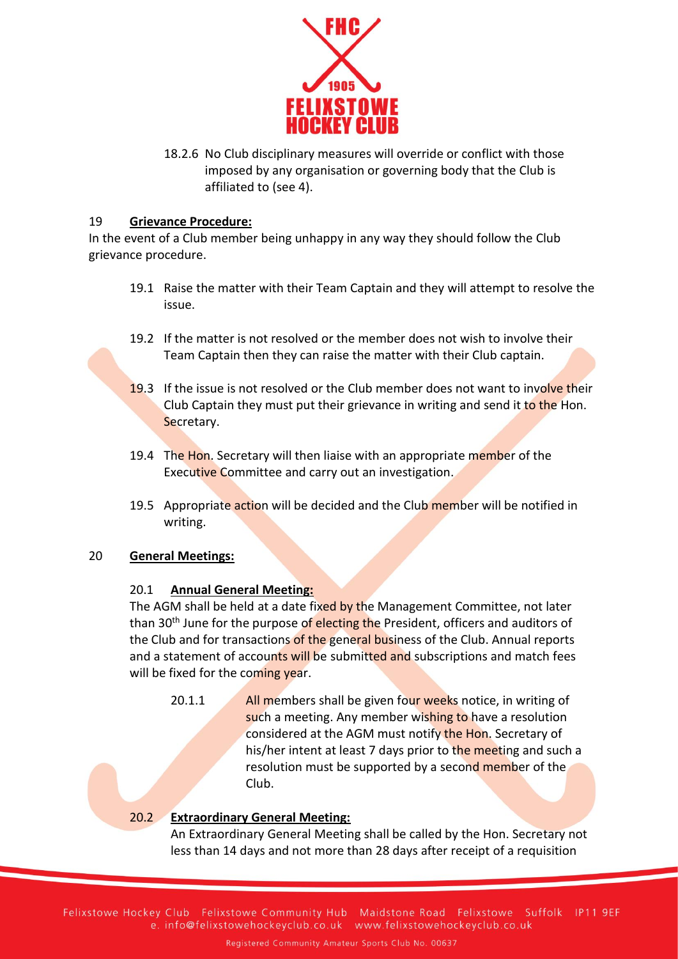

18.2.6 No Club disciplinary measures will override or conflict with those imposed by any organisation or governing body that the Club is affiliated to (see 4).

#### 19 **Grievance Procedure:**

In the event of a Club member being unhappy in any way they should follow the Club grievance procedure.

- 19.1 Raise the matter with their Team Captain and they will attempt to resolve the issue.
- 19.2 If the matter is not resolved or the member does not wish to involve their Team Captain then they can raise the matter with their Club captain.
- 19.3 If the issue is not resolved or the Club member does not want to involve their Club Captain they must put their grievance in writing and send it to the Hon. Secretary.
- 19.4 The Hon. Secretary will then liaise with an appropriate member of the Executive Committee and carry out an investigation.
- 19.5 Appropriate action will be decided and the Club member will be notified in writing.

## 20 **General Meetings:**

## 20.1 **Annual General Meeting:**

The AGM shall be held at a date fixed by the Management Committee, not later than 30<sup>th</sup> June for the purpose of electing the President, officers and auditors of the Club and for transactions of the general business of the Club. Annual reports and a statement of accounts will be submitted and subscriptions and match fees will be fixed for the coming year.

20.1.1 All members shall be given four weeks notice, in writing of such a meeting. Any member wishing to have a resolution considered at the AGM must notify the Hon. Secretary of his/her intent at least 7 days prior to the meeting and such a resolution must be supported by a second member of the Club.

## 20.2 **Extraordinary General Meeting:**

An Extraordinary General Meeting shall be called by the Hon. Secretary not less than 14 days and not more than 28 days after receipt of a requisition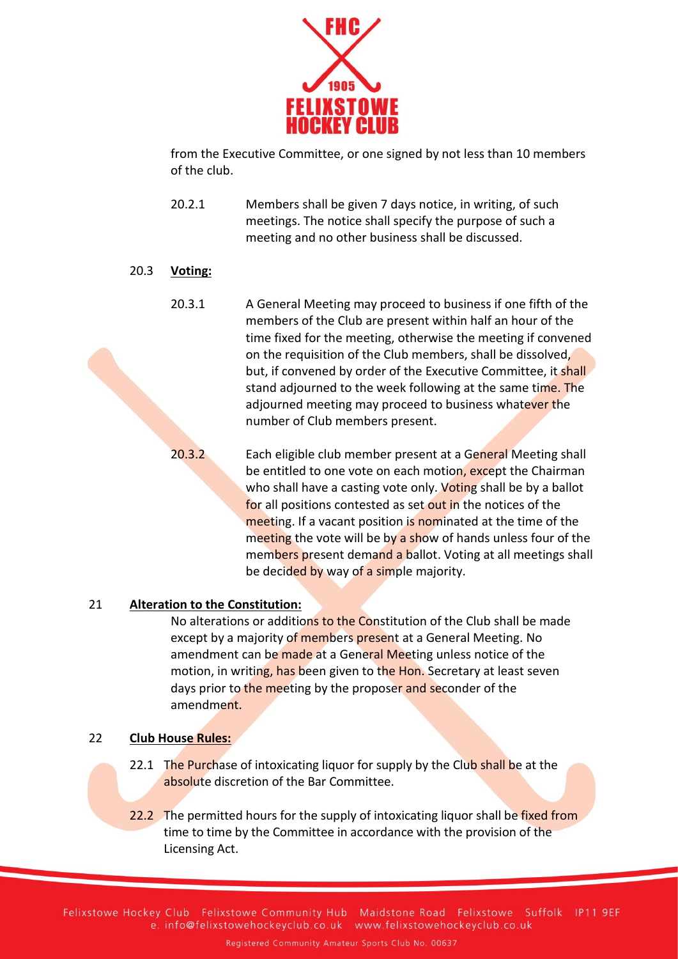

from the Executive Committee, or one signed by not less than 10 members of the club.

20.2.1 Members shall be given 7 days notice, in writing, of such meetings. The notice shall specify the purpose of such a meeting and no other business shall be discussed.

# 20.3 **Voting:**

- 20.3.1 A General Meeting may proceed to business if one fifth of the members of the Club are present within half an hour of the time fixed for the meeting, otherwise the meeting if convened on the requisition of the Club members, shall be dissolved, but, if convened by order of the Executive Committee, it shall stand adjourned to the week following at the same time. The adjourned meeting may proceed to business whatever the number of Club members present.
- 20.3.2 Each eligible club member present at a General Meeting shall be entitled to one vote on each motion, except the Chairman who shall have a casting vote only. Voting shall be by a ballot for all positions contested as set out in the notices of the meeting. If a vacant position is nominated at the time of the meeting the vote will be by a show of hands unless four of the members present demand a ballot. Voting at all meetings shall be decided by way of a simple majority.

## 21 **Alteration to the Constitution:**

No alterations or additions to the Constitution of the Club shall be made except by a majority of members present at a General Meeting. No amendment can be made at a General Meeting unless notice of the motion, in writing, has been given to the Hon. Secretary at least seven days prior to the meeting by the proposer and seconder of the amendment.

## 22 **Club House Rules:**

- 22.1 The Purchase of intoxicating liquor for supply by the Club shall be at the absolute discretion of the Bar Committee.
- 22.2 The permitted hours for the supply of intoxicating liquor shall be fixed from time to time by the Committee in accordance with the provision of the Licensing Act.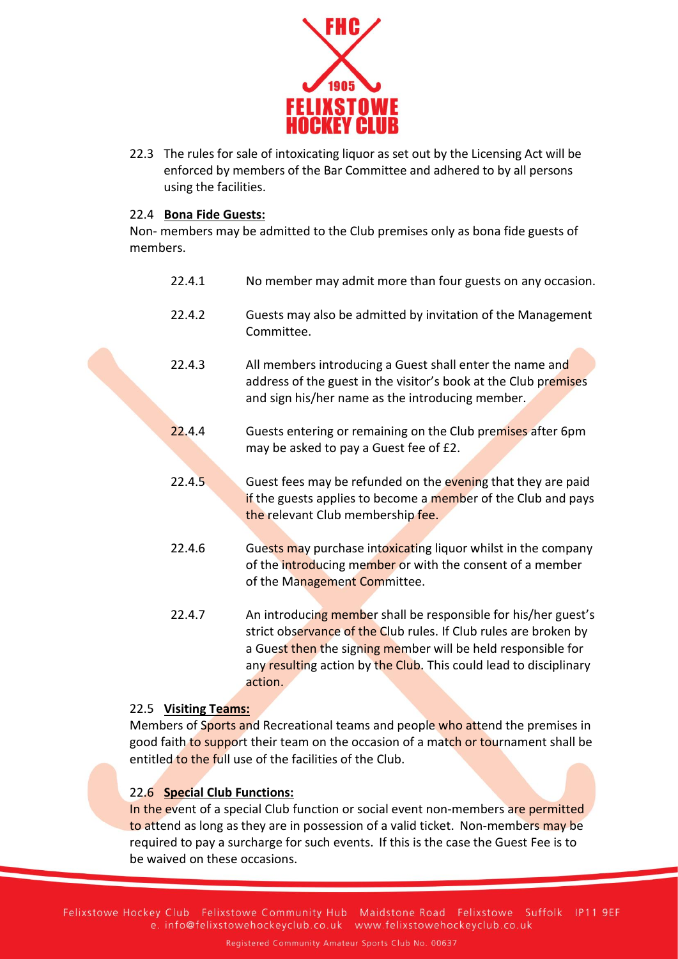

22.3 The rules for sale of intoxicating liquor as set out by the Licensing Act will be enforced by members of the Bar Committee and adhered to by all persons using the facilities.

#### 22.4 **Bona Fide Guests:**

Non- members may be admitted to the Club premises only as bona fide guests of members.

|  | 22.4.1 | No member may admit more than four guests on any occasion.                                                                                                                                                                                                                         |
|--|--------|------------------------------------------------------------------------------------------------------------------------------------------------------------------------------------------------------------------------------------------------------------------------------------|
|  | 22.4.2 | Guests may also be admitted by invitation of the Management<br>Committee.                                                                                                                                                                                                          |
|  | 22.4.3 | All members introducing a Guest shall enter the name and<br>address of the guest in the visitor's book at the Club premises<br>and sign his/her name as the introducing member.                                                                                                    |
|  | 22.4.4 | Guests entering or remaining on the Club premises after 6pm<br>may be asked to pay a Guest fee of £2.                                                                                                                                                                              |
|  | 22.4.5 | Guest fees may be refunded on the evening that they are paid<br>if the guests applies to become a member of the Club and pays<br>the relevant Club membership fee.                                                                                                                 |
|  | 22.4.6 | Guests may purchase intoxicating liquor whilst in the company<br>of the introducing member or with the consent of a member<br>of the Management Committee.                                                                                                                         |
|  | 22.4.7 | An introducing member shall be responsible for his/her guest's<br>strict observance of the Club rules. If Club rules are broken by<br>a Guest then the signing member will be held responsible for<br>any resulting action by the Club. This could lead to disciplinary<br>action. |

# 22.5 **Visiting Teams:**

Members of Sports and Recreational teams and people who attend the premises in good faith to support their team on the occasion of a match or tournament shall be entitled to the full use of the facilities of the Club.

## 22.6 **Special Club Functions:**

In the event of a special Club function or social event non-members are permitted to attend as long as they are in possession of a valid ticket. Non-members may be required to pay a surcharge for such events. If this is the case the Guest Fee is to be waived on these occasions.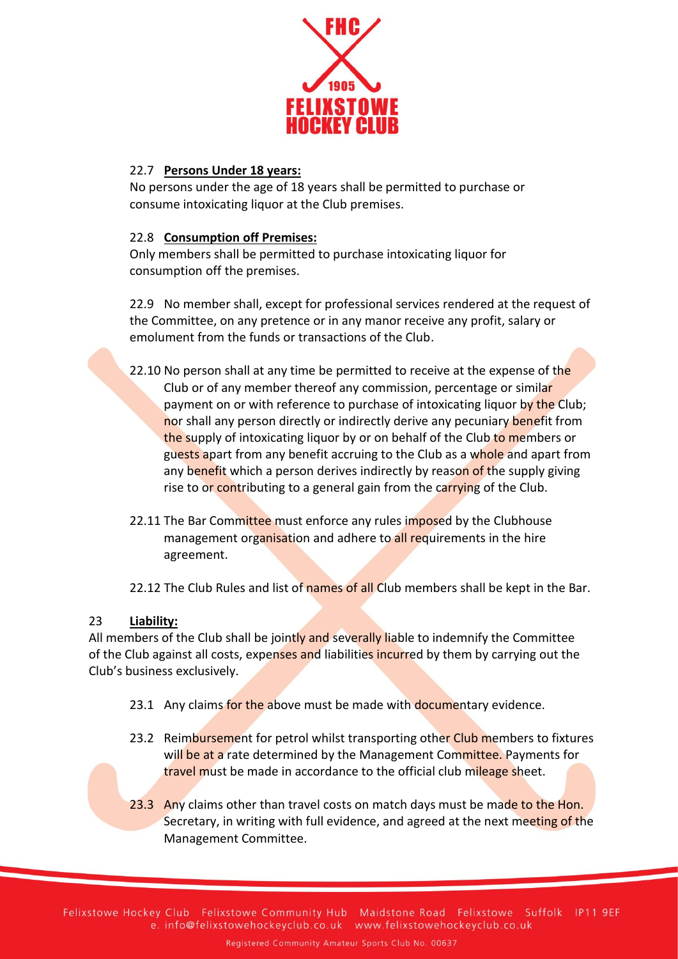

### 22.7 **Persons Under 18 years:**

No persons under the age of 18 years shall be permitted to purchase or consume intoxicating liquor at the Club premises.

#### 22.8 **Consumption off Premises:**

Only members shall be permitted to purchase intoxicating liquor for consumption off the premises.

22.9 No member shall, except for professional services rendered at the request of the Committee, on any pretence or in any manor receive any profit, salary or emolument from the funds or transactions of the Club.

- 22.10 No person shall at any time be permitted to receive at the expense of the Club or of any member thereof any commission, percentage or similar payment on or with reference to purchase of intoxicating liquor by the Club; nor shall any person directly or indirectly derive any pecuniary benefit from the supply of intoxicating liquor by or on behalf of the Club to members or guests apart from any benefit accruing to the Club as a whole and apart from any benefit which a person derives indirectly by reason of the supply giving rise to or contributing to a general gain from the carrying of the Club.
- 22.11 The Bar Committee must enforce any rules imposed by the Clubhouse management organisation and adhere to all requirements in the hire agreement.

22.12 The Club Rules and list of names of all Club members shall be kept in the Bar.

## 23 **Liability:**

All members of the Club shall be jointly and severally liable to indemnify the Committee of the Club against all costs, expenses and liabilities incurred by them by carrying out the Club's business exclusively.

- 23.1 Any claims for the above must be made with documentary evidence.
- 23.2 Reimbursement for petrol whilst transporting other Club members to fixtures will be at a rate determined by the Management Committee. Payments for travel must be made in accordance to the official club mileage sheet.
- 23.3 Any claims other than travel costs on match days must be made to the Hon. Secretary, in writing with full evidence, and agreed at the next meeting of the Management Committee.